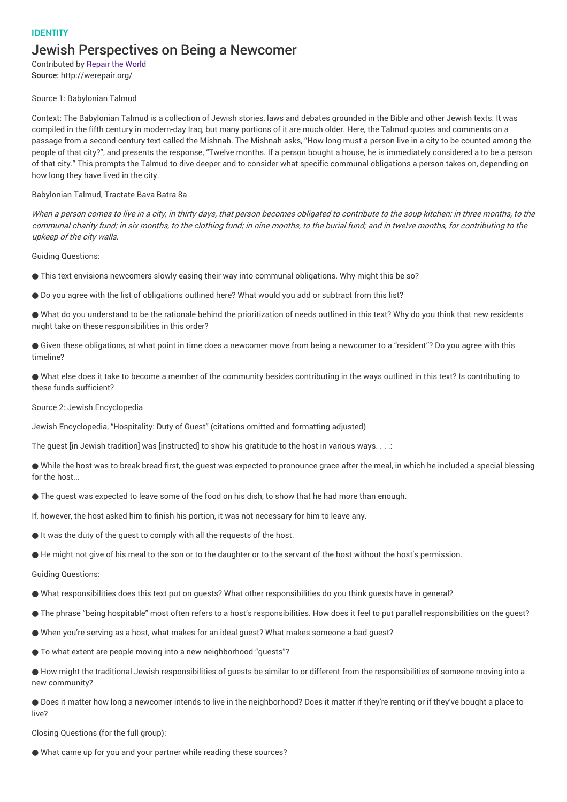## IDENTITY Jewish Perspectives on Being a Newcomer

Contributed by Repair the World Source: http://werepair.org/

## Source 1: Babylonian Talmud

Context: The Babylonian Talmud is a collection of Jewish stories, laws and debates grounded in the Bible and other Jewish texts. It was compiled in the fifth century in modern-day Iraq, but many portions of it are much older. Here, the Talmud quotes and comments on a passage from a second-century text called the Mishnah. The Mishnah asks, "How long must a person live in a city to be counted among the people of that city?", and presents the response, "Twelve months. If a person bought a house, he is immediately considered a to be a person of that city." This prompts the Talmud to dive deeper and to consider what specific communal obligations a person takes on, depending on how long they have lived in the city.

## Babylonian Talmud, Tractate Bava Batra 8a

When a person comes to live in a city, in thirty days, that person becomes obligated to contribute to the soup kitchen; in three months, to the communal charity fund; in six months, to the clothing fund; in nine months, to the burial fund; and in twelve months, for contributing to the upkeep of the city walls.

Guiding Questions:

- This text envisions newcomers slowly easing their way into communal obligations. Why might this be so?
- Do you agree with the list of obligations outlined here? What would you add or subtract from this list?

● What do you understand to be the rationale behind the prioritization of needs outlined in this text? Why do you think that new residents might take on these responsibilities in this order?

● Given these obligations, at what point in time does a newcomer move from being a newcomer to a "resident"? Do you agree with this timeline?

● What else does it take to become a member of the community besides contributing in the ways outlined in this text? Is contributing to these funds sufficient?

Source 2: Jewish Encyclopedia

Jewish Encyclopedia, "Hospitality: Duty of Guest" (citations omitted and formatting adjusted)

The quest [in Jewish tradition] was [instructed] to show his gratitude to the host in various ways. . . .:

● While the host was to break bread first, the guest was expected to pronounce grace after the meal, in which he included a special blessing for the host...

● The guest was expected to leave some of the food on his dish, to show that he had more than enough.

If, however, the host asked him to finish his portion, it was not necessary for him to leave any.

- It was the duty of the guest to comply with all the requests of the host.
- He might not give of his meal to the son or to the daughter or to the servant of the host without the host's permission.

Guiding Questions:

- What responsibilities does this text put on guests? What other responsibilities do you think guests have in general?
- The phrase "being hospitable" most often refers to a host's responsibilities. How does it feel to put parallel responsibilities on the quest?
- When you're serving as a host, what makes for an ideal guest? What makes someone a bad guest?
- To what extent are people moving into a new neighborhood "guests"?

● How might the traditional Jewish responsibilities of guests be similar to or different from the responsibilities of someone moving into a new community?

● Does it matter how long a newcomer intends to live in the neighborhood? Does it matter if they're renting or if they've bought a place to live?

Closing Questions (for the full group):

● What came up for you and your partner while reading these sources?